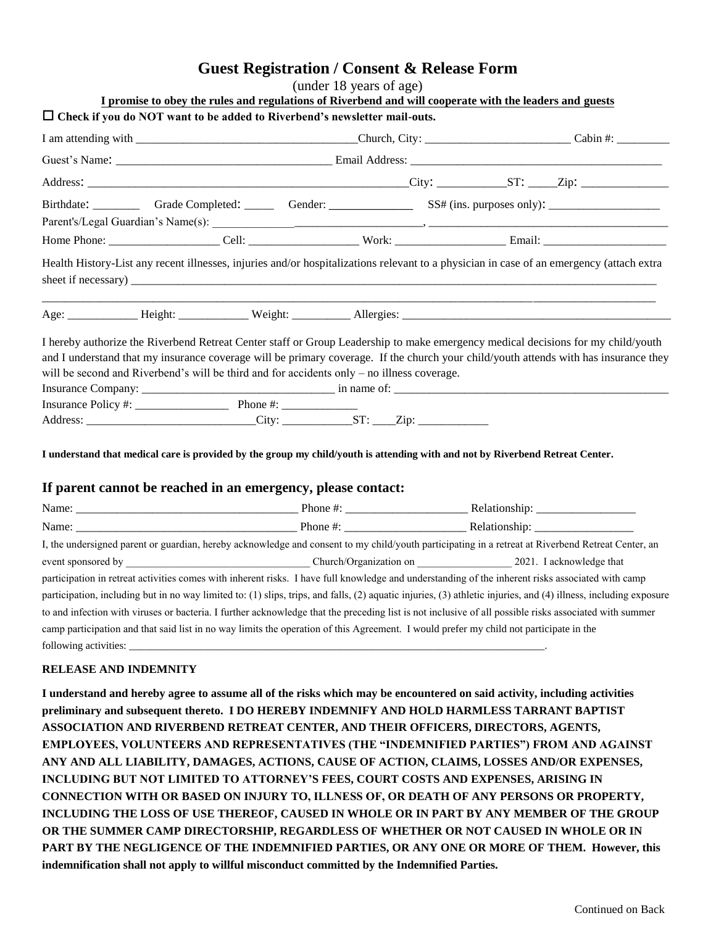## **Guest Registration / Consent & Release Form**

| (under 18 years of age) |  |  |  |  |
|-------------------------|--|--|--|--|
|-------------------------|--|--|--|--|

| $\mu$ and $\mu$ and $\mu$ and $\mu$ and $\mu$<br>I promise to obey the rules and regulations of Riverbend and will cooperate with the leaders and guests                                                                                                                                                                                                                                                                                                                                                                                           |  |  |  |  |  |
|----------------------------------------------------------------------------------------------------------------------------------------------------------------------------------------------------------------------------------------------------------------------------------------------------------------------------------------------------------------------------------------------------------------------------------------------------------------------------------------------------------------------------------------------------|--|--|--|--|--|
| $\Box$ Check if you do NOT want to be added to Riverbend's newsletter mail-outs.                                                                                                                                                                                                                                                                                                                                                                                                                                                                   |  |  |  |  |  |
|                                                                                                                                                                                                                                                                                                                                                                                                                                                                                                                                                    |  |  |  |  |  |
|                                                                                                                                                                                                                                                                                                                                                                                                                                                                                                                                                    |  |  |  |  |  |
|                                                                                                                                                                                                                                                                                                                                                                                                                                                                                                                                                    |  |  |  |  |  |
|                                                                                                                                                                                                                                                                                                                                                                                                                                                                                                                                                    |  |  |  |  |  |
|                                                                                                                                                                                                                                                                                                                                                                                                                                                                                                                                                    |  |  |  |  |  |
| Health History-List any recent illnesses, injuries and/or hospitalizations relevant to a physician in case of an emergency (attach extra                                                                                                                                                                                                                                                                                                                                                                                                           |  |  |  |  |  |
|                                                                                                                                                                                                                                                                                                                                                                                                                                                                                                                                                    |  |  |  |  |  |
| I hereby authorize the Riverbend Retreat Center staff or Group Leadership to make emergency medical decisions for my child/youth<br>and I understand that my insurance coverage will be primary coverage. If the church your child/youth attends with has insurance they<br>will be second and Riverbend's will be third and for accidents only – no illness coverage.<br>Insurance Policy #: $\frac{1}{2}$ Phone #: $\frac{1}{2}$ Phone #:<br>Address: ________________________________City: _________________ST: _____Zip: _____________________ |  |  |  |  |  |

## **I understand that medical care is provided by the group my child/youth is attending with and not by Riverbend Retreat Center.**

## **If parent cannot be reached in an emergency, please contact:**

| Name:                                                                                                                                                            | Phone $\#$ :                     |  |  |  |
|------------------------------------------------------------------------------------------------------------------------------------------------------------------|----------------------------------|--|--|--|
| Name:                                                                                                                                                            | Phone #: $\frac{1}{2}$ = 0.000 m |  |  |  |
| I, the undersigned parent or guardian, hereby acknowledge and consent to my child/youth participating in a retreat at Riverbend Retreat Center, an               |                                  |  |  |  |
|                                                                                                                                                                  |                                  |  |  |  |
| participation in retreat activities comes with inherent risks. I have full knowledge and understanding of the inherent risks associated with camp                |                                  |  |  |  |
| participation, including but in no way limited to: (1) slips, trips, and falls, (2) aquatic injuries, (3) athletic injuries, and (4) illness, including exposure |                                  |  |  |  |
| to and infection with viruses or bacteria. I further acknowledge that the preceding list is not inclusive of all possible risks associated with summer           |                                  |  |  |  |
| camp participation and that said list in no way limits the operation of this Agreement. I would prefer my child not participate in the                           |                                  |  |  |  |
| following activities:                                                                                                                                            |                                  |  |  |  |

## **RELEASE AND INDEMNITY**

**I understand and hereby agree to assume all of the risks which may be encountered on said activity, including activities preliminary and subsequent thereto. I DO HEREBY INDEMNIFY AND HOLD HARMLESS TARRANT BAPTIST ASSOCIATION AND RIVERBEND RETREAT CENTER, AND THEIR OFFICERS, DIRECTORS, AGENTS, EMPLOYEES, VOLUNTEERS AND REPRESENTATIVES (THE "INDEMNIFIED PARTIES") FROM AND AGAINST ANY AND ALL LIABILITY, DAMAGES, ACTIONS, CAUSE OF ACTION, CLAIMS, LOSSES AND/OR EXPENSES, INCLUDING BUT NOT LIMITED TO ATTORNEY'S FEES, COURT COSTS AND EXPENSES, ARISING IN CONNECTION WITH OR BASED ON INJURY TO, ILLNESS OF, OR DEATH OF ANY PERSONS OR PROPERTY, INCLUDING THE LOSS OF USE THEREOF, CAUSED IN WHOLE OR IN PART BY ANY MEMBER OF THE GROUP OR THE SUMMER CAMP DIRECTORSHIP, REGARDLESS OF WHETHER OR NOT CAUSED IN WHOLE OR IN PART BY THE NEGLIGENCE OF THE INDEMNIFIED PARTIES, OR ANY ONE OR MORE OF THEM. However, this indemnification shall not apply to willful misconduct committed by the Indemnified Parties.**